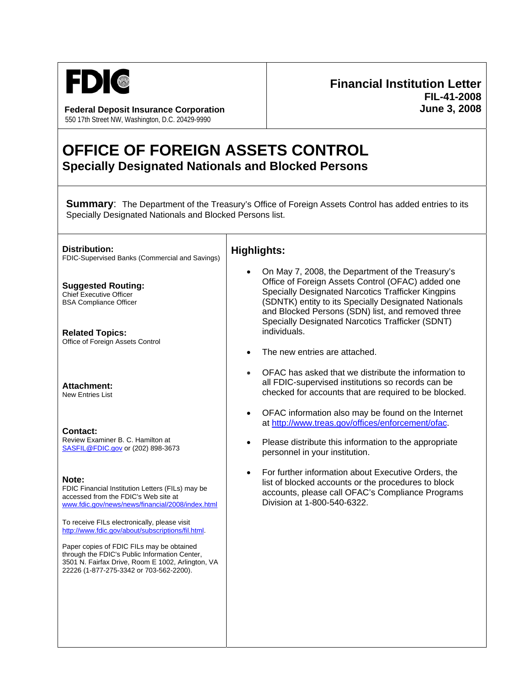

**Federal Deposit Insurance Corporation June 3, 2008** 550 17th Street NW, Washington, D.C. 20429-9990

## **Financial Institution Letter FIL-41-2008**

## **OFFICE OF FOREIGN ASSETS CONTROL Specially Designated Nationals and Blocked Persons**

┓

**Summary:** The Department of the Treasury's Office of Foreign Assets Control has added entries to its Specially Designated Nationals and Blocked Persons list.

| <b>Distribution:</b><br>FDIC-Supervised Banks (Commercial and Savings)                                                                                                                     | <b>Highlights:</b>                                                                                                                                                                                                                                                                                                                                                            |
|--------------------------------------------------------------------------------------------------------------------------------------------------------------------------------------------|-------------------------------------------------------------------------------------------------------------------------------------------------------------------------------------------------------------------------------------------------------------------------------------------------------------------------------------------------------------------------------|
| <b>Suggested Routing:</b><br><b>Chief Executive Officer</b><br><b>BSA Compliance Officer</b><br><b>Related Topics:</b><br>Office of Foreign Assets Control                                 | On May 7, 2008, the Department of the Treasury's<br>Office of Foreign Assets Control (OFAC) added one<br>Specially Designated Narcotics Trafficker Kingpins<br>(SDNTK) entity to its Specially Designated Nationals<br>and Blocked Persons (SDN) list, and removed three<br>Specially Designated Narcotics Trafficker (SDNT)<br>individuals.<br>The new entries are attached. |
| <b>Attachment:</b><br>New Entries List                                                                                                                                                     | OFAC has asked that we distribute the information to<br>all FDIC-supervised institutions so records can be<br>checked for accounts that are required to be blocked.                                                                                                                                                                                                           |
| Contact:<br>Review Examiner B. C. Hamilton at<br>SASFIL@FDIC.gov or (202) 898-3673                                                                                                         | OFAC information also may be found on the Internet<br>$\bullet$<br>at http://www.treas.gov/offices/enforcement/ofac.<br>Please distribute this information to the appropriate<br>$\bullet$<br>personnel in your institution.                                                                                                                                                  |
| Note:<br>FDIC Financial Institution Letters (FILs) may be<br>accessed from the FDIC's Web site at<br>www.fdic.gov/news/news/financial/2008/index.html                                      | For further information about Executive Orders, the<br>$\bullet$<br>list of blocked accounts or the procedures to block<br>accounts, please call OFAC's Compliance Programs<br>Division at 1-800-540-6322.                                                                                                                                                                    |
| To receive FILs electronically, please visit<br>http://www.fdic.gov/about/subscriptions/fil.html.                                                                                          |                                                                                                                                                                                                                                                                                                                                                                               |
| Paper copies of FDIC FILs may be obtained<br>through the FDIC's Public Information Center,<br>3501 N. Fairfax Drive, Room E 1002, Arlington, VA<br>22226 (1-877-275-3342 or 703-562-2200). |                                                                                                                                                                                                                                                                                                                                                                               |
|                                                                                                                                                                                            |                                                                                                                                                                                                                                                                                                                                                                               |